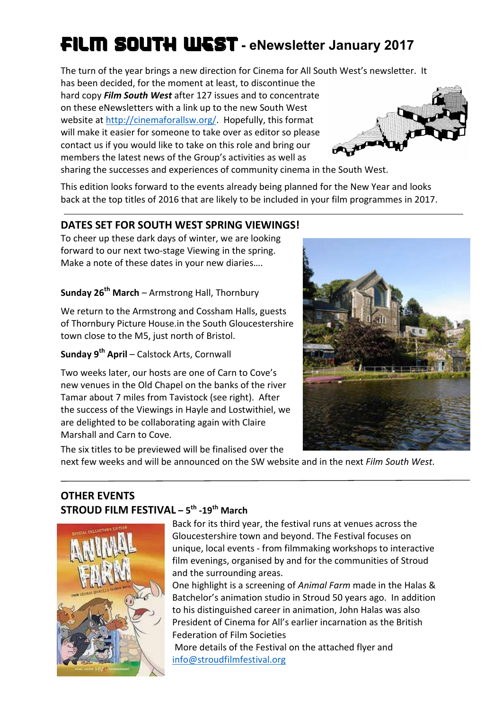# FILM SOUTH WEST **- eNewsletter January 2017**

The turn of the year brings a new direction for Cinema for All South West's newsletter. It

has been decided, for the moment at least, to discontinue the hard copy *Film South West* after 127 issues and to concentrate on these eNewsletters with a link up to the new South West website at http://cinemaforallsw.org/. Hopefully, this format will make it easier for someone to take over as editor so please contact us if you would like to take on this role and bring our members the latest news of the Group's activities as well as



sharing the successes and experiences of community cinema in the South West.

This edition looks forward to the events already being planned for the New Year and looks back at the top titles of 2016 that are likely to be included in your film programmes in 2017.

# **DATES SET FOR SOUTH WEST SPRING VIEWINGS!**

To cheer up these dark days of winter, we are looking forward to our next two-stage Viewing in the spring. Make a note of these dates in your new diaries….

**Sunday 26th March** – Armstrong Hall, Thornbury

We return to the Armstrong and Cossham Halls, guests of Thornbury Picture House.in the South Gloucestershire town close to the M5, just north of Bristol.

# **Sunday 9th April** – Calstock Arts, Cornwall

Two weeks later, our hosts are one of Carn to Cove's new venues in the Old Chapel on the banks of the river Tamar about 7 miles from Tavistock (see right). After the success of the Viewings in Hayle and Lostwithiel, we are delighted to be collaborating again with Claire Marshall and Carn to Cove.



The six titles to be previewed will be finalised over the next few weeks and will be announced on the SW website and in the next *Film South West.*

# **OTHER EVENTS STROUD FILM FESTIVAL – 5th -19th March**



Back for its third year, the festival runs at venues across the Gloucestershire town and beyond. The Festival focuses on unique, local events - from filmmaking workshops to interactive film evenings, organised by and for the communities of Stroud and the surrounding areas.

One highlight is a screening of *Animal Farm* made in the Halas & Batchelor's animation studio in Stroud 50 years ago. In addition to his distinguished career in animation, John Halas was also President of Cinema for All's earlier incarnation as the British Federation of Film Societies

More details of the Festival on the attached flyer and info@stroudfilmfestival.org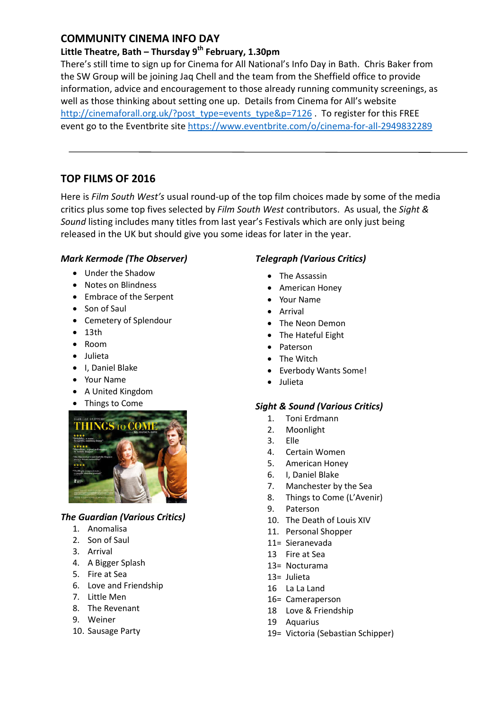## **COMMUNITY CINEMA INFO DAY**

## **Little Theatre, Bath – Thursday 9th February, 1.30pm**

There's still time to sign up for Cinema for All National's Info Day in Bath. Chris Baker from the SW Group will be joining Jaq Chell and the team from the Sheffield office to provide information, advice and encouragement to those already running community screenings, as well as those thinking about setting one up. Details from Cinema for All's website http://cinemaforall.org.uk/?post\_type=events\_type&p=7126 . To register for this FREE event go to the Eventbrite site https://www.eventbrite.com/o/cinema-for-all-2949832289

# **TOP FILMS OF 2016**

Here is *Film South West's* usual round-up of the top film choices made by some of the media critics plus some top fives selected by *Film South West* contributors. As usual, the *Sight & Sound* listing includes many titles from last year's Festivals which are only just being released in the UK but should give you some ideas for later in the year.

## *Mark Kermode (The Observer)*

- Under the Shadow
- Notes on Blindness
- Embrace of the Serpent
- Son of Saul
- Cemetery of Splendour
- $13th$
- Room
- Julieta
- I, Daniel Blake
- Your Name
- A United Kingdom
- Things to Come



## *The Guardian (Various Critics)*

- 1. Anomalisa
- 2. Son of Saul
- 3. Arrival
- 4. A Bigger Splash
- 5. Fire at Sea
- 6. Love and Friendship
- 7. Little Men
- 8. The Revenant
- 9. Weiner
- 10. Sausage Party

## *Telegraph (Various Critics)*

- The Assassin
- American Honey
- Your Name
- Arrival
- The Neon Demon
- The Hateful Eight
- Paterson
- The Witch
- Everbody Wants Some!
- Julieta

## *Sight & Sound (Various Critics)*

- 1. Toni Erdmann
- 2. Moonlight
- 3. Elle
- 4. Certain Women
- 5. American Honey
- 6. I, Daniel Blake
- 7. Manchester by the Sea
- 8. Things to Come (L'Avenir)
- 9. Paterson
- 10. The Death of Louis XIV
- 11. Personal Shopper
- 11= Sieranevada
- 13 Fire at Sea
- 13= Nocturama
- 13= Julieta
- 16 La La Land
- 16= Cameraperson
- 18 Love & Friendship
- 19 Aquarius
- 19= Victoria (Sebastian Schipper)